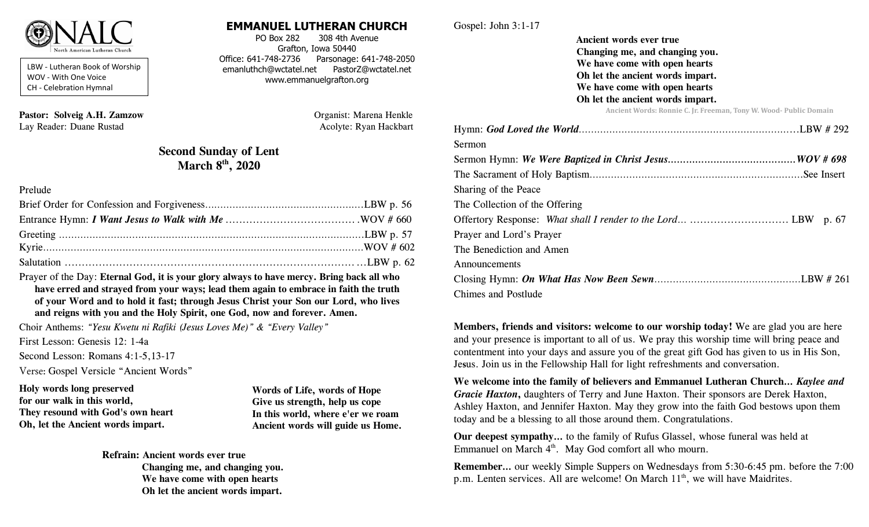

LBW - Lutheran Book of Worship WOV - With One Voice CH - Celebration Hymnal

**Pastor: Solveig A.H. Zamzow Organist: Marena Henkle** Lay Reader: Duane Rustad **Acolyte: Ryan Hackbart** Acolyte: Ryan Hackbart

### **EMMANUEL LUTHERAN CHURCH**

PO Box 282 308 4th Avenue Grafton, Iowa 50440 Office: 641-748-2736 Parsonage: 641-748-2050 emanluthch@wctatel.net PastorZ@wctatel.net www.emmanuelgrafton.org

# **Second Sunday of Lent March 8 th , 2020**

#### Prelude

Prayer of the Day: **Eternal God, it is your glory always to have mercy. Bring back all who have erred and strayed from your ways; lead them again to embrace in faith the truth of your Word and to hold it fast; through Jesus Christ your Son our Lord, who lives and reigns with you and the Holy Spirit, one God, now and forever. Amen.** 

Choir Anthems: *"Yesu Kwetu ni Rafiki (Jesus Loves Me)" & "Every Valley"*

First Lesson: Genesis 12: 1-4a

Second Lesson: Romans 4:1-5,13-17

Verse: Gospel Versicle "Ancient Words"

**Holy words long preserved for our walk in this world, They resound with God's own heart Oh, let the Ancient words impart.**

**Words of Life, words of Hope Give us strength, help us cope In this world, where e'er we roam Ancient words will guide us Home.**

 **Refrain: Ancient words ever true Changing me, and changing you. We have come with open hearts Oh let the ancient words impart.**

Gospel: John 3:1-17

 **Ancient words ever true Changing me, and changing you. We have come with open hearts Oh let the ancient words impart. We have come with open hearts Oh let the ancient words impart.**

 **Ancient Words: Ronnie C. Jr. Freeman, Tony W. Wood- Public Domain**

| Sermon                         |
|--------------------------------|
|                                |
|                                |
| Sharing of the Peace           |
| The Collection of the Offering |
|                                |
| Prayer and Lord's Prayer       |
| The Benediction and Amen       |
| Announcements                  |
|                                |
| Chimes and Postlude            |

**Members, friends and visitors: welcome to our worship today!** We are glad you are here and your presence is important to all of us. We pray this worship time will bring peace and contentment into your days and assure you of the great gift God has given to us in His Son, Je**s**us. Join us in the Fellowship Hall for light refreshments and conversation.

**We welcome into the family of believers and Emmanuel Lutheran Church…** *Kaylee and Gracie Haxton***,** daughters of Terry and June Haxton. Their sponsors are Derek Haxton, Ashley Haxton, and Jennifer Haxton. May they grow into the faith God bestows upon them today and be a blessing to all those around them. Congratulations.

**Our deepest sympathy…** to the family of Rufus Glassel, whose funeral was held at Emmanuel on March  $4<sup>th</sup>$ . May God comfort all who mourn.

**Remember…** our weekly Simple Suppers on Wednesdays from 5:30-6:45 pm. before the 7:00 p.m. Lenten services. All are welcome! On March 11<sup>th</sup>, we will have Maidrites.